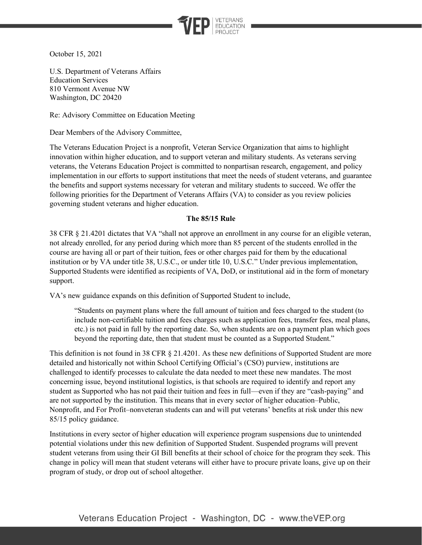

October 15, 2021

U.S. Department of Veterans Affairs Education Services 810 Vermont Avenue NW Washington, DC 20420

Re: Advisory Committee on Education Meeting

Dear Members of the Advisory Committee,

The Veterans Education Project is a nonprofit, Veteran Service Organization that aims to highlight innovation within higher education, and to support veteran and military students. As veterans serving veterans, the Veterans Education Project is committed to nonpartisan research, engagement, and policy implementation in our efforts to support institutions that meet the needs of student veterans, and guarantee the benefits and support systems necessary for veteran and military students to succeed. We offer the following priorities for the Department of Veterans Affairs (VA) to consider as you review policies governing student veterans and higher education.

## **The 85/15 Rule**

38 CFR § 21.4201 dictates that VA "shall not approve an enrollment in any course for an eligible veteran, not already enrolled, for any period during which more than 85 percent of the students enrolled in the course are having all or part of their tuition, fees or other charges paid for them by the educational institution or by VA under title 38, U.S.C., or under title 10, U.S.C." Under previous implementation, Supported Students were identified as recipients of VA, DoD, or institutional aid in the form of monetary support.

VA's new guidance expands on this definition of Supported Student to include,

"Students on payment plans where the full amount of tuition and fees charged to the student (to include non-certifiable tuition and fees charges such as application fees, transfer fees, meal plans, etc.) is not paid in full by the reporting date. So, when students are on a payment plan which goes beyond the reporting date, then that student must be counted as a Supported Student."

This definition is not found in 38 CFR § 21.4201. As these new definitions of Supported Student are more detailed and historically not within School Certifying Official's (CSO) purview, institutions are challenged to identify processes to calculate the data needed to meet these new mandates. The most concerning issue, beyond institutional logistics, is that schools are required to identify and report any student as Supported who has not paid their tuition and fees in full—even if they are "cash-paying" and are not supported by the institution. This means that in every sector of higher education–Public, Nonprofit, and For Profit–nonveteran students can and will put veterans' benefits at risk under this new 85/15 policy guidance.

Institutions in every sector of higher education will experience program suspensions due to unintended potential violations under this new definition of Supported Student. Suspended programs will prevent student veterans from using their GI Bill benefits at their school of choice for the program they seek. This change in policy will mean that student veterans will either have to procure private loans, give up on their program of study, or drop out of school altogether.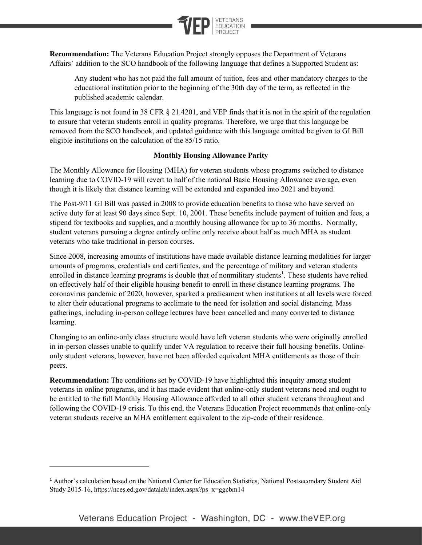

**Recommendation:** The Veterans Education Project strongly opposes the Department of Veterans Affairs' addition to the SCO handbook of the following language that defines a Supported Student as:

Any student who has not paid the full amount of tuition, fees and other mandatory charges to the educational institution prior to the beginning of the 30th day of the term, as reflected in the published academic calendar.

This language is not found in 38 CFR § 21.4201, and VEP finds that it is not in the spirit of the regulation to ensure that veteran students enroll in quality programs. Therefore, we urge that this language be removed from the SCO handbook, and updated guidance with this language omitted be given to GI Bill eligible institutions on the calculation of the 85/15 ratio.

## **Monthly Housing Allowance Parity**

The Monthly Allowance for Housing (MHA) for veteran students whose programs switched to distance learning due to COVID-19 will revert to half of the national Basic Housing Allowance average, even though it is likely that distance learning will be extended and expanded into 2021 and beyond.

The Post-9/11 GI Bill was passed in 2008 to provide education benefits to those who have served on active duty for at least 90 days since Sept. 10, 2001. These benefits include payment of tuition and fees, a stipend for textbooks and supplies, and a monthly housing allowance for up to 36 months. Normally, student veterans pursuing a degree entirely online only receive about half as much MHA as student veterans who take traditional in-person courses.

Since 2008, increasing amounts of institutions have made available distance learning modalities for larger amounts of programs, credentials and certificates, and the percentage of military and veteran students enrolled in distance learning programs is double that of nonmilitary students<sup>1</sup>. These students have relied on effectively half of their eligible housing benefit to enroll in these distance learning programs. The coronavirus pandemic of 2020, however, sparked a predicament when institutions at all levels were forced to alter their educational programs to acclimate to the need for isolation and social distancing. Mass gatherings, including in-person college lectures have been cancelled and many converted to distance learning.

Changing to an online-only class structure would have left veteran students who were originally enrolled in in-person classes unable to qualify under VA regulation to receive their full housing benefits. Onlineonly student veterans, however, have not been afforded equivalent MHA entitlements as those of their peers.

**Recommendation:** The conditions set by COVID-19 have highlighted this inequity among student veterans in online programs, and it has made evident that online-only student veterans need and ought to be entitled to the full Monthly Housing Allowance afforded to all other student veterans throughout and following the COVID-19 crisis. To this end, the Veterans Education Project recommends that online-only veteran students receive an MHA entitlement equivalent to the zip-code of their residence.

<sup>1</sup> Author's calculation based on the National Center for Education Statistics, National Postsecondary Student Aid Study 2015-16, https://nces.ed.gov/datalab/index.aspx?ps\_x=ggcbm14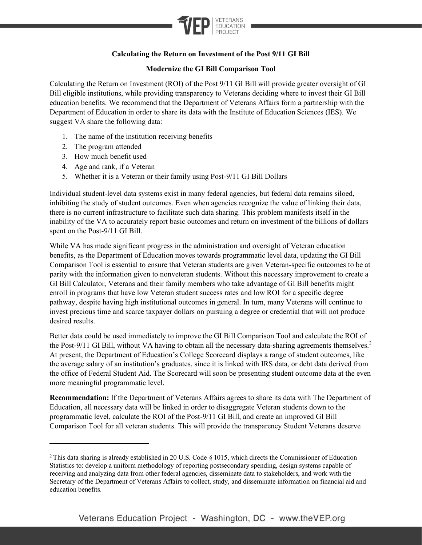

## **Calculating the Return on Investment of the Post 9/11 GI Bill**

## **Modernize the GI Bill Comparison Tool**

Calculating the Return on Investment (ROI) of the Post 9/11 GI Bill will provide greater oversight of GI Bill eligible institutions, while providing transparency to Veterans deciding where to invest their GI Bill education benefits. We recommend that the Department of Veterans Affairs form a partnership with the Department of Education in order to share its data with the Institute of Education Sciences (IES). We suggest VA share the following data:

- 1. The name of the institution receiving benefits
- 2. The program attended
- 3. How much benefit used
- 4. Age and rank, if a Veteran
- 5. Whether it is a Veteran or their family using Post-9/11 GI Bill Dollars

Individual student-level data systems exist in many federal agencies, but federal data remains siloed, inhibiting the study of student outcomes. Even when agencies recognize the value of linking their data, there is no current infrastructure to facilitate such data sharing. This problem manifests itself in the inability of the VA to accurately report basic outcomes and return on investment of the billions of dollars spent on the Post-9/11 GI Bill.

While VA has made significant progress in the administration and oversight of Veteran education benefits, as the Department of Education moves towards programmatic level data, updating the GI Bill Comparison Tool is essential to ensure that Veteran students are given Veteran-specific outcomes to be at parity with the information given to nonveteran students. Without this necessary improvement to create a GI Bill Calculator, Veterans and their family members who take advantage of GI Bill benefits might enroll in programs that have low Veteran student success rates and low ROI for a specific degree pathway, despite having high institutional outcomes in general. In turn, many Veterans will continue to invest precious time and scarce taxpayer dollars on pursuing a degree or credential that will not produce desired results.

Better data could be used immediately to improve the GI Bill Comparison Tool and calculate the ROI of the Post-9/11 GI Bill, without VA having to obtain all the necessary data-sharing agreements themselves.<sup>2</sup> At present, the Department of Education's College Scorecard displays a range of student outcomes, like the average salary of an institution's graduates, since it is linked with IRS data, or debt data derived from the office of Federal Student Aid. The Scorecard will soon be presenting student outcome data at the even more meaningful programmatic level.

**Recommendation:** If the Department of Veterans Affairs agrees to share its data with The Department of Education, all necessary data will be linked in order to disaggregate Veteran students down to the programmatic level, calculate the ROI of the Post-9/11 GI Bill, and create an improved GI Bill Comparison Tool for all veteran students. This will provide the transparency Student Veterans deserve

<sup>&</sup>lt;sup>2</sup> This data sharing is already established in 20 U.S. Code § 1015, which directs the Commissioner of Education Statistics to: develop a uniform methodology of reporting postsecondary spending, design systems capable of receiving and analyzing data from other federal agencies, disseminate data to stakeholders, and work with the Secretary of the Department of Veterans Affairs to collect, study, and disseminate information on financial aid and education benefits.